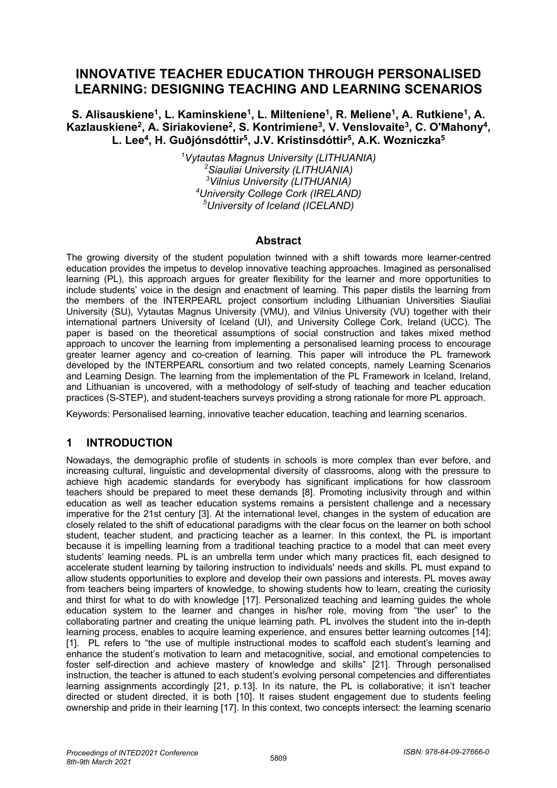# **INNOVATIVE TEACHER EDUCATION THROUGH PERSONALISED LEARNING: DESIGNING TEACHING AND LEARNING SCENARIOS**

S. Alisauskiene<sup>1</sup>, L. Kaminskiene<sup>1</sup>, L. Milteniene<sup>1</sup>, R. Meliene<sup>1</sup>, A. Rutkiene<sup>1</sup>, A. Kazlauskiene<sup>2</sup>, A. Siriakoviene<sup>2</sup>, S. Kontrimiene<sup>3</sup>, V. Venslovaite<sup>3</sup>, C. O'Mahony<sup>4</sup>, **L. Lee4, H. Guðjónsdóttir5, J.V. Kristinsdóttir5, A.K. Wozniczka5**

> *Vytautas Magnus University (LITHUANIA) Siauliai University (LITHUANIA) Vilnius University (LITHUANIA) University College Cork (IRELAND) University of Iceland (ICELAND)*

### **Abstract**

The growing diversity of the student population twinned with a shift towards more learner-centred education provides the impetus to develop innovative teaching approaches. Imagined as personalised learning (PL), this approach argues for greater flexibility for the learner and more opportunities to include students' voice in the design and enactment of learning. This paper distils the learning from the members of the INTERPEARL project consortium including Lithuanian Universities Siauliai University (SU), Vytautas Magnus University (VMU), and Vilnius University (VU) together with their international partners University of Iceland (UI), and University College Cork, Ireland (UCC). The paper is based on the theoretical assumptions of social construction and takes mixed method approach to uncover the learning from implementing a personalised learning process to encourage greater learner agency and co-creation of learning. This paper will introduce the PL framework developed by the INTERPEARL consortium and two related concepts, namely Learning Scenarios and Learning Design. The learning from the implementation of the PL Framework in Iceland, Ireland, and Lithuanian is uncovered, with a methodology of self-study of teaching and teacher education practices (S-STEP), and student-teachers surveys providing a strong rationale for more PL approach.

Keywords: Personalised learning, innovative teacher education, teaching and learning scenarios.

# **1 INTRODUCTION**

Nowadays, the demographic profile of students in schools is more complex than ever before, and increasing cultural, linguistic and developmental diversity of classrooms, along with the pressure to achieve high academic standards for everybody has significant implications for how classroom teachers should be prepared to meet these demands [8]. Promoting inclusivity through and within education as well as teacher education systems remains a persistent challenge and a necessary imperative for the 21st century [3]. At the international level, changes in the system of education are closely related to the shift of educational paradigms with the clear focus on the learner on both school student, teacher student, and practicing teacher as a learner. In this context, the PL is important because it is impelling learning from a traditional teaching practice to a model that can meet every students' learning needs. PL is an umbrella term under which many practices fit, each designed to accelerate student learning by tailoring instruction to individuals' needs and skills. PL must expand to allow students opportunities to explore and develop their own passions and interests. PL moves away from teachers being imparters of knowledge, to showing students how to learn, creating the curiosity and thirst for what to do with knowledge [17]. Personalized teaching and learning guides the whole education system to the learner and changes in his/her role, moving from "the user" to the collaborating partner and creating the unique learning path. PL involves the student into the in-depth learning process, enables to acquire learning experience, and ensures better learning outcomes [14]; [1]. PL refers to "the use of multiple instructional modes to scaffold each student's learning and enhance the student's motivation to learn and metacognitive, social, and emotional competencies to foster self-direction and achieve mastery of knowledge and skills" [21]. Through personalised instruction, the teacher is attuned to each student's evolving personal competencies and differentiates learning assignments accordingly [21, p.13]. In its nature, the PL is collaborative; it isn't teacher directed or student directed, it is both [10]. It raises student engagement due to students feeling ownership and pride in their learning [17]. In this context, two concepts intersect: the learning scenario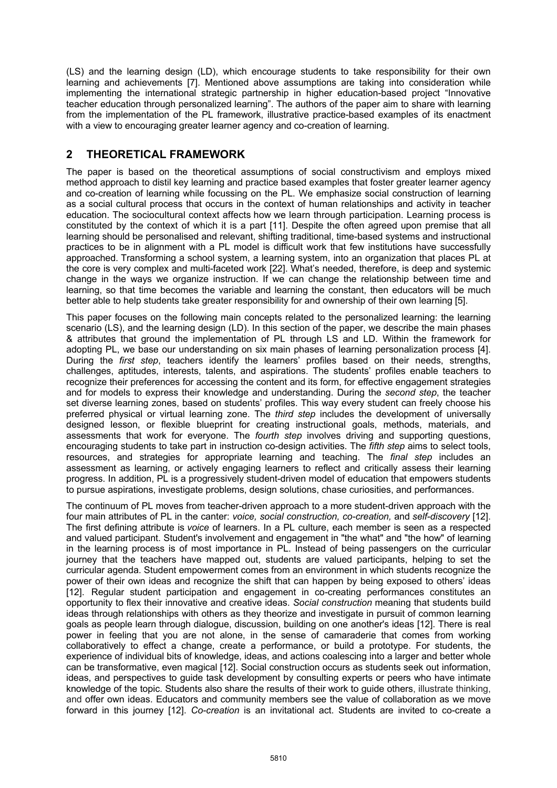(LS) and the learning design (LD), which encourage students to take responsibility for their own learning and achievements [7]. Mentioned above assumptions are taking into consideration while implementing the international strategic partnership in higher education-based project "Innovative teacher education through personalized learning". The authors of the paper aim to share with learning from the implementation of the PL framework, illustrative practice-based examples of its enactment with a view to encouraging greater learner agency and co-creation of learning.

# **2 THEORETICAL FRAMEWORK**

The paper is based on the theoretical assumptions of social constructivism and employs mixed method approach to distil key learning and practice based examples that foster greater learner agency and co-creation of learning while focussing on the PL. We emphasize social construction of learning as a social cultural process that occurs in the context of human relationships and activity in teacher education. The sociocultural context affects how we learn through participation. Learning process is constituted by the context of which it is a part [11]. Despite the often agreed upon premise that all learning should be personalised and relevant, shifting traditional, time-based systems and instructional practices to be in alignment with a PL model is difficult work that few institutions have successfully approached. Transforming a school system, a learning system, into an organization that places PL at the core is very complex and multi-faceted work [22]. What's needed, therefore, is deep and systemic change in the ways we organize instruction. If we can change the relationship between time and learning, so that time becomes the variable and learning the constant, then educators will be much better able to help students take greater responsibility for and ownership of their own learning [5].

This paper focuses on the following main concepts related to the personalized learning: the learning scenario (LS), and the learning design (LD). In this section of the paper, we describe the main phases & attributes that ground the implementation of PL through LS and LD. Within the framework for adopting PL, we base our understanding on six main phases of learning personalization process [4]. During the *first step*, teachers identify the learners' profiles based on their needs, strengths, challenges, aptitudes, interests, talents, and aspirations. The students' profiles enable teachers to recognize their preferences for accessing the content and its form, for effective engagement strategies and for models to express their knowledge and understanding. During the *second step*, the teacher set diverse learning zones, based on students' profiles. This way every student can freely choose his preferred physical or virtual learning zone. The *third step* includes the development of universally designed lesson, or flexible blueprint for creating instructional goals, methods, materials, and assessments that work for everyone. The *fourth step* involves driving and supporting questions, encouraging students to take part in instruction co-design activities. The *fifth step* aims to select tools, resources, and strategies for appropriate learning and teaching. The *final step* includes an assessment as learning, or actively engaging learners to reflect and critically assess their learning progress. In addition, PL is a progressively student-driven model of education that empowers students to pursue aspirations, investigate problems, design solutions, chase curiosities, and performances.

The continuum of PL moves from teacher-driven approach to a more student-driven approach with the four main attributes of PL in the canter: *voice, social construction, co-creation,* and *self-discovery* [12]. The first defining attribute is *voice* of learners. In a PL culture, each member is seen as a respected and valued participant. Student's involvement and engagement in "the what" and "the how" of learning in the learning process is of most importance in PL. Instead of being passengers on the curricular journey that the teachers have mapped out, students are valued participants, helping to set the curricular agenda. Student empowerment comes from an environment in which students recognize the power of their own ideas and recognize the shift that can happen by being exposed to others' ideas [12]. Regular student participation and engagement in co-creating performances constitutes an opportunity to flex their innovative and creative ideas. *Social construction* meaning that students build ideas through relationships with others as they theorize and investigate in pursuit of common learning goals as people learn through dialogue, discussion, building on one another's ideas [12]. There is real power in feeling that you are not alone, in the sense of camaraderie that comes from working collaboratively to effect a change, create a performance, or build a prototype. For students, the experience of individual bits of knowledge, ideas, and actions coalescing into a larger and better whole can be transformative, even magical [12]. Social construction occurs as students seek out information, ideas, and perspectives to guide task development by consulting experts or peers who have intimate knowledge of the topic. Students also share the results of their work to guide others, illustrate thinking, and offer own ideas. Educators and community members see the value of collaboration as we move forward in this journey [12]. *Co-creation* is an invitational act. Students are invited to co-create a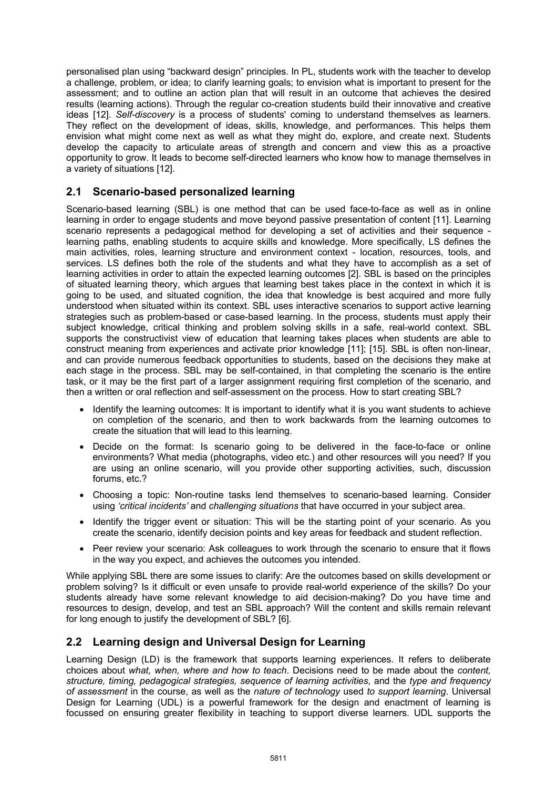personalised plan using "backward design" principles. In PL, students work with the teacher to develop a challenge, problem, or idea; to clarify learning goals; to envision what is important to present for the assessment; and to outline an action plan that will result in an outcome that achieves the desired results (learning actions). Through the regular co-creation students build their innovative and creative ideas [12]. *Self-discovery* is a process of students' coming to understand themselves as learners. They reflect on the development of ideas, skills, knowledge, and performances. This helps them envision what might come next as well as what they might do, explore, and create next. Students develop the capacity to articulate areas of strength and concern and view this as a proactive opportunity to grow. It leads to become self-directed learners who know how to manage themselves in a variety of situations [12].

# **2.1 Scenario-based personalized learning**

Scenario-based learning (SBL) is one method that can be used face-to-face as well as in online learning in order to engage students and move beyond passive presentation of content [11]. Learning scenario represents a pedagogical method for developing a set of activities and their sequence learning paths, enabling students to acquire skills and knowledge. More specifically, LS defines the main activities, roles, learning structure and environment context - location, resources, tools, and services. LS defines both the role of the students and what they have to accomplish as a set of learning activities in order to attain the expected learning outcomes [2]. SBL is based on the principles of situated learning theory, which argues that learning best takes place in the context in which it is going to be used, and situated cognition, the idea that knowledge is best acquired and more fully understood when situated within its context. SBL uses interactive scenarios to support active learning strategies such as problem-based or case-based learning. In the process, students must apply their subject knowledge, critical thinking and problem solving skills in a safe, real-world context. SBL supports the constructivist view of education that learning takes places when students are able to construct meaning from experiences and activate prior knowledge [11]; [15]. SBL is often non-linear, and can provide numerous feedback opportunities to students, based on the decisions they make at each stage in the process. SBL may be self-contained, in that completing the scenario is the entire task, or it may be the first part of a larger assignment requiring first completion of the scenario, and then a written or oral reflection and self-assessment on the process. How to start creating SBL?

- Identify the learning outcomes: It is important to identify what it is you want students to achieve on completion of the scenario, and then to work backwards from the learning outcomes to create the situation that will lead to this learning.
- Decide on the format: Is scenario going to be delivered in the face-to-face or online environments? What media (photographs, video etc.) and other resources will you need? If you are using an online scenario, will you provide other supporting activities, such, discussion forums, etc.?
- Choosing a topic: Non-routine tasks lend themselves to scenario-based learning. Consider using *'critical incidents'* and *challenging situations* that have occurred in your subject area.
- Identify the trigger event or situation: This will be the starting point of your scenario. As you create the scenario, identify decision points and key areas for feedback and student reflection.
- Peer review your scenario: Ask colleagues to work through the scenario to ensure that it flows in the way you expect, and achieves the outcomes you intended.

While applying SBL there are some issues to clarify: Are the outcomes based on skills development or problem solving? Is it difficult or even unsafe to provide real-world experience of the skills? Do your students already have some relevant knowledge to aid decision-making? Do you have time and resources to design, develop, and test an SBL approach? Will the content and skills remain relevant for long enough to justify the development of SBL? [6].

# **2.2 Learning design and Universal Design for Learning**

Learning Design (LD) is the framework that supports learning experiences. It refers to deliberate choices about *what, when, where and how to teach*. Decisions need to be made about the *content, structure, timing, pedagogical strategies, sequence of learning activities*, and the *type and frequency of assessment* in the course, as well as the *nature of technology* used *to support learning*. Universal Design for Learning (UDL) is a powerful framework for the design and enactment of learning is focussed on ensuring greater flexibility in teaching to support diverse learners. UDL supports the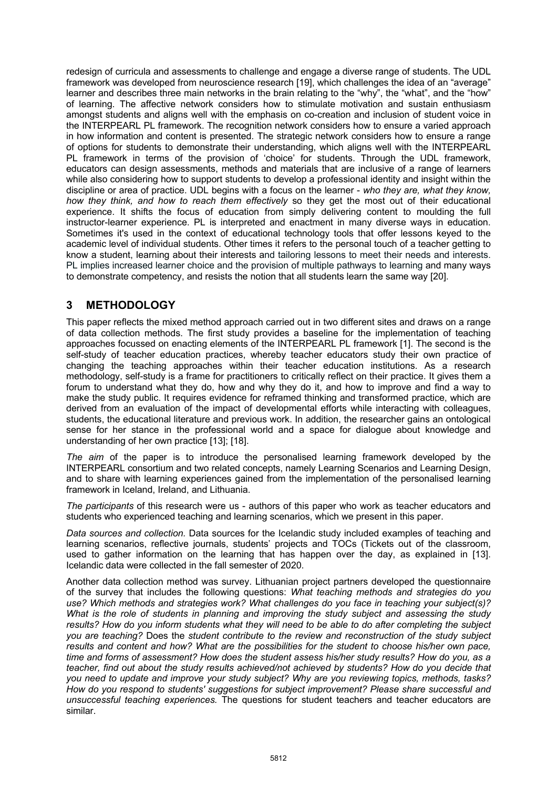redesign of curricula and assessments to challenge and engage a diverse range of students. The UDL framework was developed from neuroscience research [19], which challenges the idea of an "average" learner and describes three main networks in the brain relating to the "why", the "what", and the "how" of learning. The affective network considers how to stimulate motivation and sustain enthusiasm amongst students and aligns well with the emphasis on co-creation and inclusion of student voice in the INTERPEARL PL framework. The recognition network considers how to ensure a varied approach in how information and content is presented. The strategic network considers how to ensure a range of options for students to demonstrate their understanding, which aligns well with the INTERPEARL PL framework in terms of the provision of 'choice' for students. Through the UDL framework, educators can design assessments, methods and materials that are inclusive of a range of learners while also considering how to support students to develop a professional identity and insight within the discipline or area of practice. UDL begins with a focus on the learner - *who they are, what they know, how they think, and how to reach them effectively* so they get the most out of their educational experience. It shifts the focus of education from simply delivering content to moulding the full instructor-learner experience. PL is interpreted and enactment in many diverse ways in education. Sometimes it's used in the context of educational technology tools that offer lessons keyed to the academic level of individual students. Other times it refers to the personal touch of a teacher getting to know a student, learning about their interests and tailoring lessons to meet their needs and interests. PL implies increased learner choice and the provision of multiple pathways to learning and many ways to demonstrate competency, and resists the notion that all students learn the same way [20].

# **3 METHODOLOGY**

This paper reflects the mixed method approach carried out in two different sites and draws on a range of data collection methods. The first study provides a baseline for the implementation of teaching approaches focussed on enacting elements of the INTERPEARL PL framework [1]. The second is the self-study of teacher education practices, whereby teacher educators study their own practice of changing the teaching approaches within their teacher education institutions. As a research methodology, self-study is a frame for practitioners to critically reflect on their practice. It gives them a forum to understand what they do, how and why they do it, and how to improve and find a way to make the study public. It requires evidence for reframed thinking and transformed practice, which are derived from an evaluation of the impact of developmental efforts while interacting with colleagues, students, the educational literature and previous work. In addition, the researcher gains an ontological sense for her stance in the professional world and a space for dialogue about knowledge and understanding of her own practice [13]; [18].

*The aim* of the paper is to introduce the personalised learning framework developed by the INTERPEARL consortium and two related concepts, namely Learning Scenarios and Learning Design, and to share with learning experiences gained from the implementation of the personalised learning framework in Iceland, Ireland, and Lithuania.

*The participants* of this research were us - authors of this paper who work as teacher educators and students who experienced teaching and learning scenarios, which we present in this paper.

*Data sources and collection.* Data sources for the Icelandic study included examples of teaching and learning scenarios, reflective journals, students' projects and TOCs (Tickets out of the classroom, used to gather information on the learning that has happen over the day, as explained in [13]. Icelandic data were collected in the fall semester of 2020.

Another data collection method was survey. Lithuanian project partners developed the questionnaire of the survey that includes the following questions: *What teaching methods and strategies do you use? Which methods and strategies work? What challenges do you face in teaching your subject(s)? What is the role of students in planning and improving the study subject and assessing the study results? How do you inform students what they will need to be able to do after completing the subject you are teaching?* Does the *student contribute to the review and reconstruction of the study subject results and content and how? What are the possibilities for the student to choose his/her own pace, time and forms of assessment? How does the student assess his/her study results? How do you, as a teacher, find out about the study results achieved/not achieved by students? How do you decide that you need to update and improve your study subject? Why are you reviewing topics, methods, tasks? How do you respond to students' suggestions for subject improvement? Please share successful and unsuccessful teaching experiences.* The questions for student teachers and teacher educators are similar.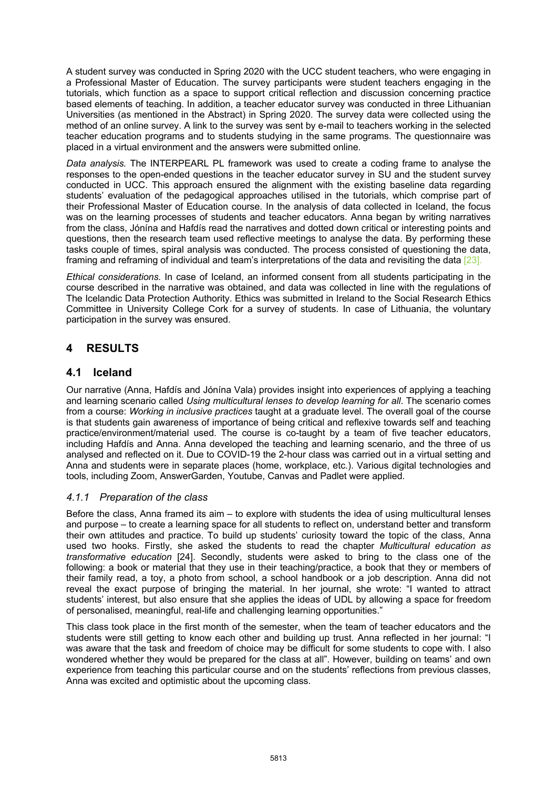A student survey was conducted in Spring 2020 with the UCC student teachers, who were engaging in a Professional Master of Education. The survey participants were student teachers engaging in the tutorials, which function as a space to support critical reflection and discussion concerning practice based elements of teaching. In addition, a teacher educator survey was conducted in three Lithuanian Universities (as mentioned in the Abstract) in Spring 2020. The survey data were collected using the method of an online survey. A link to the survey was sent by e-mail to teachers working in the selected teacher education programs and to students studying in the same programs. The questionnaire was placed in a virtual environment and the answers were submitted online.

*Data analysis.* The INTERPEARL PL framework was used to create a coding frame to analyse the responses to the open-ended questions in the teacher educator survey in SU and the student survey conducted in UCC. This approach ensured the alignment with the existing baseline data regarding students' evaluation of the pedagogical approaches utilised in the tutorials, which comprise part of their Professional Master of Education course. In the analysis of data collected in Iceland, the focus was on the learning processes of students and teacher educators. Anna began by writing narratives from the class, Jónína and Hafdís read the narratives and dotted down critical or interesting points and questions, then the research team used reflective meetings to analyse the data. By performing these tasks couple of times, spiral analysis was conducted. The process consisted of questioning the data, framing and reframing of individual and team's interpretations of the data and revisiting the data [23].

*Ethical considerations.* In case of Iceland, an informed consent from all students participating in the course described in the narrative was obtained, and data was collected in line with the regulations of The Icelandic Data Protection Authority. Ethics was submitted in Ireland to the Social Research Ethics Committee in University College Cork for a survey of students. In case of Lithuania, the voluntary participation in the survey was ensured.

# **4 RESULTS**

## **4.1 Iceland**

Our narrative (Anna, Hafdís and Jónína Vala) provides insight into experiences of applying a teaching and learning scenario called *Using multicultural lenses to develop learning for all*. The scenario comes from a course: *Working in inclusive practices* taught at a graduate level. The overall goal of the course is that students gain awareness of importance of being critical and reflexive towards self and teaching practice/environment/material used. The course is co-taught by a team of five teacher educators, including Hafdís and Anna. Anna developed the teaching and learning scenario, and the three of us analysed and reflected on it. Due to COVID-19 the 2-hour class was carried out in a virtual setting and Anna and students were in separate places (home, workplace, etc.). Various digital technologies and tools, including Zoom, AnswerGarden, Youtube, Canvas and Padlet were applied.

### *4.1.1 Preparation of the class*

Before the class, Anna framed its aim – to explore with students the idea of using multicultural lenses and purpose – to create a learning space for all students to reflect on, understand better and transform their own attitudes and practice. To build up students' curiosity toward the topic of the class, Anna used two hooks. Firstly, she asked the students to read the chapter *Multicultural education as transformative education* [24]. Secondly, students were asked to bring to the class one of the following: a book or material that they use in their teaching/practice, a book that they or members of their family read, a toy, a photo from school, a school handbook or a job description. Anna did not reveal the exact purpose of bringing the material. In her journal, she wrote: "I wanted to attract students' interest, but also ensure that she applies the ideas of UDL by allowing a space for freedom of personalised, meaningful, real-life and challenging learning opportunities."

This class took place in the first month of the semester, when the team of teacher educators and the students were still getting to know each other and building up trust. Anna reflected in her journal: "I was aware that the task and freedom of choice may be difficult for some students to cope with. I also wondered whether they would be prepared for the class at all". However, building on teams' and own experience from teaching this particular course and on the students' reflections from previous classes, Anna was excited and optimistic about the upcoming class.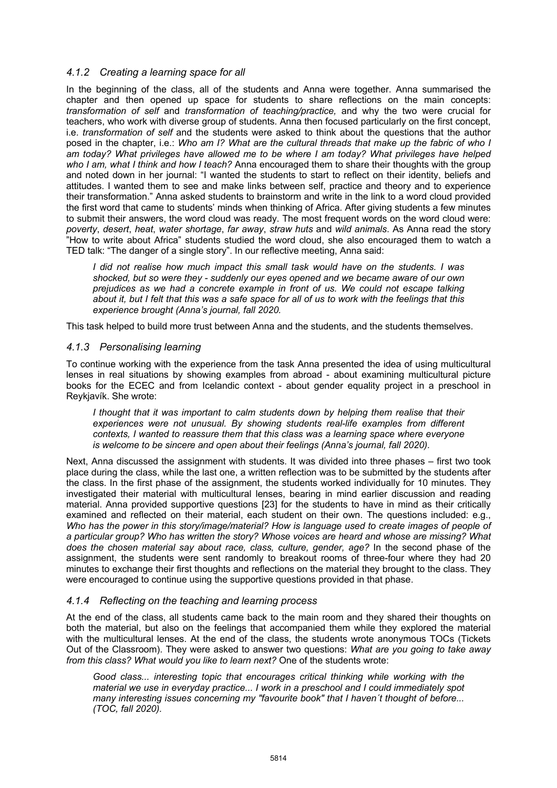#### *4.1.2 Creating a learning space for all*

In the beginning of the class, all of the students and Anna were together. Anna summarised the chapter and then opened up space for students to share reflections on the main concepts: *transformation of self* and *transformation of teaching/practice,* and why the two were crucial for teachers, who work with diverse group of students. Anna then focused particularly on the first concept, i.e. *transformation of self* and the students were asked to think about the questions that the author posed in the chapter, i.e.: *Who am I? What are the cultural threads that make up the fabric of who I am today? What privileges have allowed me to be where I am today? What privileges have helped who I am, what I think and how I teach?* Anna encouraged them to share their thoughts with the group and noted down in her journal: "I wanted the students to start to reflect on their identity, beliefs and attitudes. I wanted them to see and make links between self, practice and theory and to experience their transformation." Anna asked students to brainstorm and write in the link to a word cloud provided the first word that came to students' minds when thinking of Africa. After giving students a few minutes to submit their answers, the word cloud was ready. The most frequent words on the word cloud were: *poverty*, *desert*, *heat*, *water shortage*, *far away*, *straw huts* and *wild animals*. As Anna read the story "How to write about Africa" students studied the word cloud, she also encouraged them to watch a TED talk: "The danger of a single story". In our reflective meeting, Anna said:

*I did not realise how much impact this small task would have on the students. I was shocked, but so were they - suddenly our eyes opened and we became aware of our own prejudices as we had a concrete example in front of us. We could not escape talking about it, but I felt that this was a safe space for all of us to work with the feelings that this experience brought (Anna's journal, fall 2020.*

This task helped to build more trust between Anna and the students, and the students themselves.

#### *4.1.3 Personalising learning*

To continue working with the experience from the task Anna presented the idea of using multicultural lenses in real situations by showing examples from abroad - about examining multicultural picture books for the ECEC and from Icelandic context - about gender equality project in a preschool in Reykjavík. She wrote:

*I thought that it was important to calm students down by helping them realise that their experiences were not unusual. By showing students real-life examples from different contexts, I wanted to reassure them that this class was a learning space where everyone is welcome to be sincere and open about their feelings (Anna's journal, fall 2020).* 

Next, Anna discussed the assignment with students. It was divided into three phases – first two took place during the class, while the last one, a written reflection was to be submitted by the students after the class. In the first phase of the assignment, the students worked individually for 10 minutes. They investigated their material with multicultural lenses, bearing in mind earlier discussion and reading material. Anna provided supportive questions [23] for the students to have in mind as their critically examined and reflected on their material, each student on their own. The questions included: e.g., *Who has the power in this story/image/material? How is language used to create images of people of a particular group? Who has written the story? Whose voices are heard and whose are missing? What does the chosen material say about race, class, culture, gender, age?* In the second phase of the assignment, the students were sent randomly to breakout rooms of three-four where they had 20 minutes to exchange their first thoughts and reflections on the material they brought to the class. They were encouraged to continue using the supportive questions provided in that phase.

#### *4.1.4 Reflecting on the teaching and learning process*

At the end of the class, all students came back to the main room and they shared their thoughts on both the material, but also on the feelings that accompanied them while they explored the material with the multicultural lenses. At the end of the class, the students wrote anonymous TOCs (Tickets Out of the Classroom). They were asked to answer two questions: *What are you going to take away from this class? What would you like to learn next?* One of the students wrote:

*Good class... interesting topic that encourages critical thinking while working with the material we use in everyday practice... I work in a preschool and I could immediately spot many interesting issues concerning my "favourite book" that I haven´t thought of before... (TOC, fall 2020).*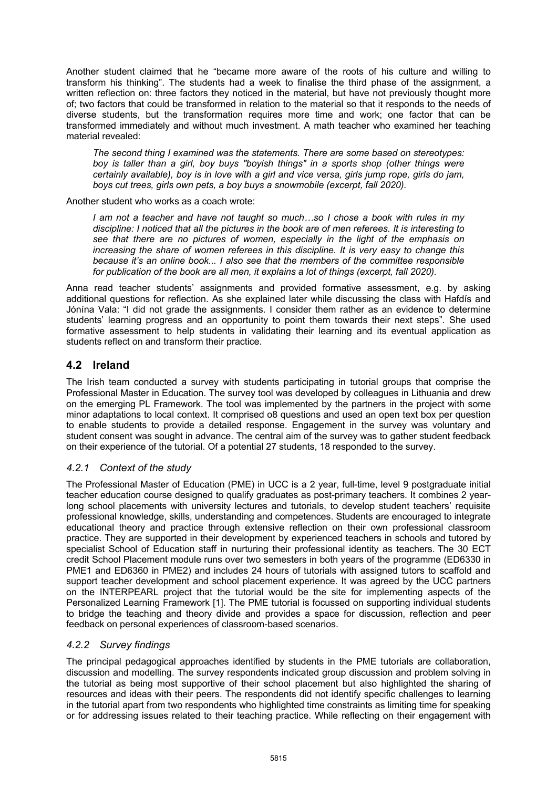Another student claimed that he "became more aware of the roots of his culture and willing to transform his thinking". The students had a week to finalise the third phase of the assignment, a written reflection on: three factors they noticed in the material, but have not previously thought more of; two factors that could be transformed in relation to the material so that it responds to the needs of diverse students, but the transformation requires more time and work; one factor that can be transformed immediately and without much investment. A math teacher who examined her teaching material revealed:

*The second thing I examined was the statements. There are some based on stereotypes: boy is taller than a girl, boy buys "boyish things" in a sports shop (other things were certainly available), boy is in love with a girl and vice versa, girls jump rope, girls do jam, boys cut trees, girls own pets, a boy buys a snowmobile (excerpt, fall 2020).* 

Another student who works as a coach wrote:

*I am not a teacher and have not taught so much…so I chose a book with rules in my discipline: I noticed that all the pictures in the book are of men referees. It is interesting to see that there are no pictures of women, especially in the light of the emphasis on increasing the share of women referees in this discipline. It is very easy to change this because it's an online book... I also see that the members of the committee responsible for publication of the book are all men, it explains a lot of things (excerpt, fall 2020).* 

Anna read teacher students' assignments and provided formative assessment, e.g. by asking additional questions for reflection. As she explained later while discussing the class with Hafdís and Jónína Vala: "I did not grade the assignments. I consider them rather as an evidence to determine students' learning progress and an opportunity to point them towards their next steps". She used formative assessment to help students in validating their learning and its eventual application as students reflect on and transform their practice.

# **4.2 Ireland**

The Irish team conducted a survey with students participating in tutorial groups that comprise the Professional Master in Education. The survey tool was developed by colleagues in Lithuania and drew on the emerging PL Framework. The tool was implemented by the partners in the project with some minor adaptations to local context. It comprised o8 questions and used an open text box per question to enable students to provide a detailed response. Engagement in the survey was voluntary and student consent was sought in advance. The central aim of the survey was to gather student feedback on their experience of the tutorial. Of a potential 27 students, 18 responded to the survey.

### *4.2.1 Context of the study*

The Professional Master of Education (PME) in UCC is a 2 year, full-time, level 9 postgraduate initial teacher education course designed to qualify graduates as post-primary teachers. It combines 2 yearlong school placements with university lectures and tutorials, to develop student teachers' requisite professional knowledge, skills, understanding and competences. Students are encouraged to integrate educational theory and practice through extensive reflection on their own professional classroom practice. They are supported in their development by experienced teachers in schools and tutored by specialist School of Education staff in nurturing their professional identity as teachers. The 30 ECT credit School Placement module runs over two semesters in both years of the programme (ED6330 in PME1 and ED6360 in PME2) and includes 24 hours of tutorials with assigned tutors to scaffold and support teacher development and school placement experience. It was agreed by the UCC partners on the INTERPEARL project that the tutorial would be the site for implementing aspects of the Personalized Learning Framework [1]. The PME tutorial is focussed on supporting individual students to bridge the teaching and theory divide and provides a space for discussion, reflection and peer feedback on personal experiences of classroom-based scenarios.

### *4.2.2 Survey findings*

The principal pedagogical approaches identified by students in the PME tutorials are collaboration, discussion and modelling. The survey respondents indicated group discussion and problem solving in the tutorial as being most supportive of their school placement but also highlighted the sharing of resources and ideas with their peers. The respondents did not identify specific challenges to learning in the tutorial apart from two respondents who highlighted time constraints as limiting time for speaking or for addressing issues related to their teaching practice. While reflecting on their engagement with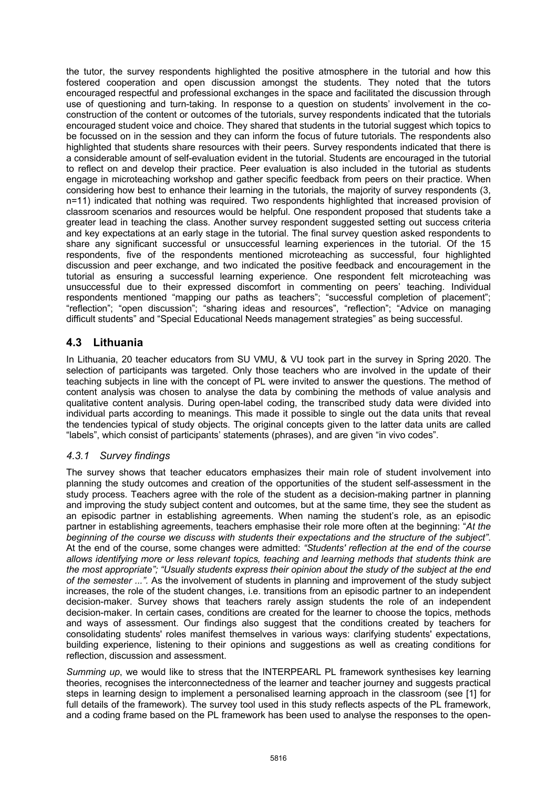the tutor, the survey respondents highlighted the positive atmosphere in the tutorial and how this fostered cooperation and open discussion amongst the students. They noted that the tutors encouraged respectful and professional exchanges in the space and facilitated the discussion through use of questioning and turn-taking. In response to a question on students' involvement in the coconstruction of the content or outcomes of the tutorials, survey respondents indicated that the tutorials encouraged student voice and choice. They shared that students in the tutorial suggest which topics to be focussed on in the session and they can inform the focus of future tutorials. The respondents also highlighted that students share resources with their peers. Survey respondents indicated that there is a considerable amount of self-evaluation evident in the tutorial. Students are encouraged in the tutorial to reflect on and develop their practice. Peer evaluation is also included in the tutorial as students engage in microteaching workshop and gather specific feedback from peers on their practice. When considering how best to enhance their learning in the tutorials, the majority of survey respondents (3, n=11) indicated that nothing was required. Two respondents highlighted that increased provision of classroom scenarios and resources would be helpful. One respondent proposed that students take a greater lead in teaching the class. Another survey respondent suggested setting out success criteria and key expectations at an early stage in the tutorial. The final survey question asked respondents to share any significant successful or unsuccessful learning experiences in the tutorial. Of the 15 respondents, five of the respondents mentioned microteaching as successful, four highlighted discussion and peer exchange, and two indicated the positive feedback and encouragement in the tutorial as ensuring a successful learning experience. One respondent felt microteaching was unsuccessful due to their expressed discomfort in commenting on peers' teaching. Individual respondents mentioned "mapping our paths as teachers"; "successful completion of placement"; "reflection"; "open discussion"; "sharing ideas and resources", "reflection"; "Advice on managing difficult students" and "Special Educational Needs management strategies" as being successful.

# **4.3 Lithuania**

In Lithuania, 20 teacher educators from SU VMU, & VU took part in the survey in Spring 2020. The selection of participants was targeted. Only those teachers who are involved in the update of their teaching subjects in line with the concept of PL were invited to answer the questions. The method of content analysis was chosen to analyse the data by combining the methods of value analysis and qualitative content analysis. During open-label coding, the transcribed study data were divided into individual parts according to meanings. This made it possible to single out the data units that reveal the tendencies typical of study objects. The original concepts given to the latter data units are called "labels", which consist of participants' statements (phrases), and are given "in vivo codes".

### *4.3.1 Survey findings*

The survey shows that teacher educators emphasizes their main role of student involvement into planning the study outcomes and creation of the opportunities of the student self-assessment in the study process. Teachers agree with the role of the student as a decision-making partner in planning and improving the study subject content and outcomes, but at the same time, they see the student as an episodic partner in establishing agreements. When naming the student's role, as an episodic partner in establishing agreements, teachers emphasise their role more often at the beginning: "*At the beginning of the course we discuss with students their expectations and the structure of the subject"*. At the end of the course, some changes were admitted: *"Students' reflection at the end of the course allows identifying more or less relevant topics, teaching and learning methods that students think are the most appropriate"; "Usually students express their opinion about the study of the subject at the end of the semester ...".* As the involvement of students in planning and improvement of the study subject increases, the role of the student changes, i.e. transitions from an episodic partner to an independent decision-maker. Survey shows that teachers rarely assign students the role of an independent decision-maker. In certain cases, conditions are created for the learner to choose the topics, methods and ways of assessment. Our findings also suggest that the conditions created by teachers for consolidating students' roles manifest themselves in various ways: clarifying students' expectations, building experience, listening to their opinions and suggestions as well as creating conditions for reflection, discussion and assessment.

*Summing up*, we would like to stress that the INTERPEARL PL framework synthesises key learning theories, recognises the interconnectedness of the learner and teacher journey and suggests practical steps in learning design to implement a personalised learning approach in the classroom (see [1] for full details of the framework). The survey tool used in this study reflects aspects of the PL framework, and a coding frame based on the PL framework has been used to analyse the responses to the open-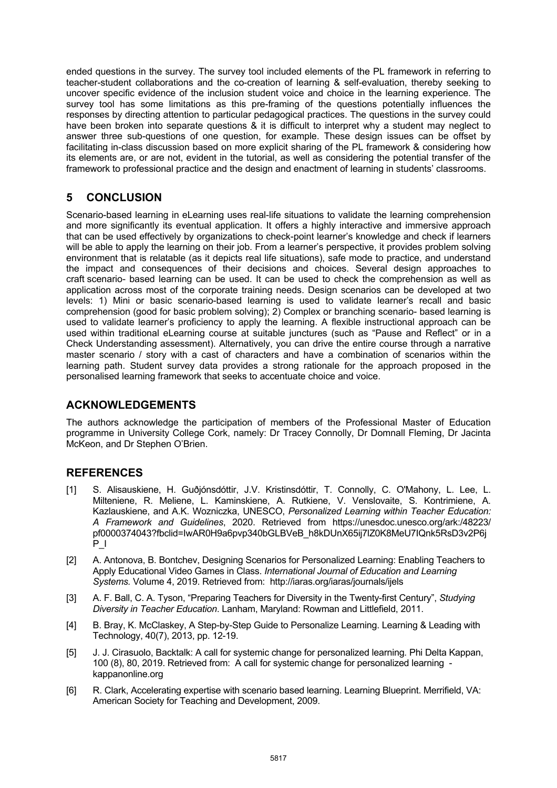ended questions in the survey. The survey tool included elements of the PL framework in referring to teacher-student collaborations and the co-creation of learning & self-evaluation, thereby seeking to uncover specific evidence of the inclusion student voice and choice in the learning experience. The survey tool has some limitations as this pre-framing of the questions potentially influences the responses by directing attention to particular pedagogical practices. The questions in the survey could have been broken into separate questions & it is difficult to interpret why a student may neglect to answer three sub-questions of one question, for example. These design issues can be offset by facilitating in-class discussion based on more explicit sharing of the PL framework & considering how its elements are, or are not, evident in the tutorial, as well as considering the potential transfer of the framework to professional practice and the design and enactment of learning in students' classrooms.

# **5 CONCLUSION**

Scenario-based learning in eLearning uses real-life situations to validate the learning comprehension and more significantly its eventual application. It offers a highly interactive and immersive approach that can be used effectively by organizations to check-point learner's knowledge and check if learners will be able to apply the learning on their job. From a learner's perspective, it provides problem solving environment that is relatable (as it depicts real life situations), safe mode to practice, and understand the impact and consequences of their decisions and choices. Several design approaches to craft scenario- based learning can be used. It can be used to check the comprehension as well as application across most of the corporate training needs. Design scenarios can be developed at two levels: 1) Mini or basic scenario-based learning is used to validate learner's recall and basic comprehension (good for basic problem solving); 2) Complex or branching scenario- based learning is used to validate learner's proficiency to apply the learning. A flexible instructional approach can be used within traditional eLearning course at suitable junctures (such as "Pause and Reflect" or in a Check Understanding assessment). Alternatively, you can drive the entire course through a narrative master scenario / story with a cast of characters and have a combination of scenarios within the learning path. Student survey data provides a strong rationale for the approach proposed in the personalised learning framework that seeks to accentuate choice and voice.

# **ACKNOWLEDGEMENTS**

The authors acknowledge the participation of members of the Professional Master of Education programme in University College Cork, namely: Dr Tracey Connolly, Dr Domnall Fleming, Dr Jacinta McKeon, and Dr Stephen O'Brien.

# **REFERENCES**

- [1] S. Alisauskiene, H. Guðjónsdóttir, J.V. Kristinsdóttir, T. Connolly, C. O'Mahony, L. Lee, L. Milteniene, R. Meliene, L. Kaminskiene, A. Rutkiene, V. Venslovaite, S. Kontrimiene, A. Kazlauskiene, and A.K. Wozniczka, UNESCO, *Personalized Learning within Teacher Education: A Framework and Guidelines*, 2020. Retrieved from https://unesdoc.unesco.org/ark:/48223/ pf0000374043?fbclid=IwAR0H9a6pvp340bGLBVeB\_h8kDUnX65ij7lZ0K8MeU7IQnk5RsD3v2P6j P\_I
- [2] A. Antonova, B. Bontchev, Designing Scenarios for Personalized Learning: Enabling Teachers to Apply Educational Video Games in Class. *International Journal of Education and Learning Systems.* Volume 4, 2019. Retrieved from: http://iaras.org/iaras/journals/ijels
- [3] A. F. Ball, C. A. Tyson, "Preparing Teachers for Diversity in the Twenty-first Century", *Studying Diversity in Teacher Education*. Lanham, Maryland: Rowman and Littlefield, 2011.
- [4] B. Bray, K. McClaskey, A Step-by-Step Guide to Personalize Learning. Learning & Leading with Technology, 40(7), 2013, pp. 12-19.
- [5] J. J. Cirasuolo, Backtalk: A call for systemic change for personalized learning*.* Phi Delta Kappan, 100 (8), 80, 2019. Retrieved from: A call for systemic change for personalized learning kappanonline.org
- [6] R. Clark, Accelerating expertise with scenario based learning. Learning Blueprint. Merrifield, VA: American Society for Teaching and Development, 2009.